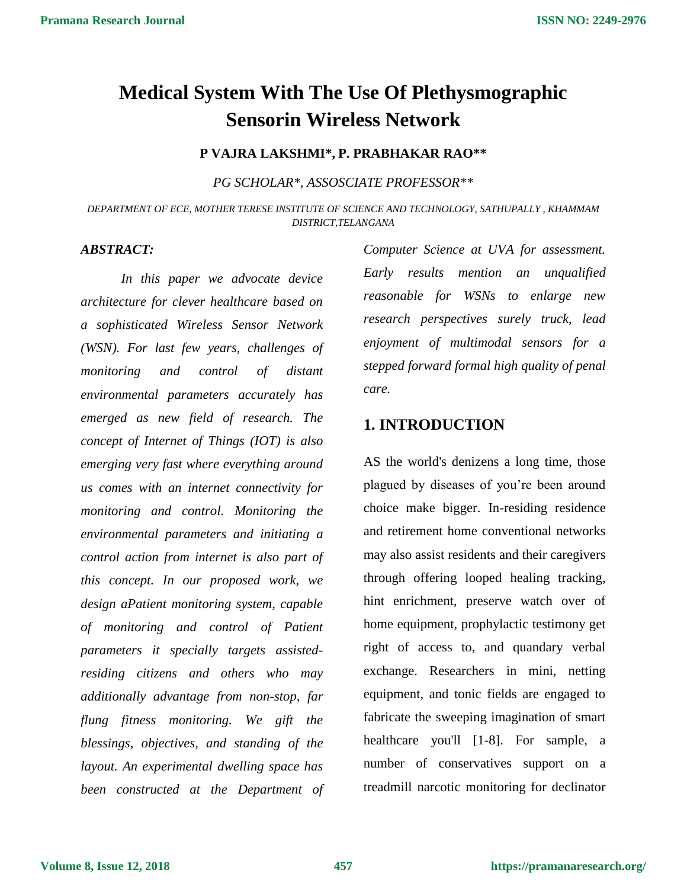# **Medical System With The Use Of Plethysmographic Sensorin Wireless Network**

### **P VAJRA LAKSHMI\*, P. PRABHAKAR RAO\*\***

*PG SCHOLAR\*, ASSOSCIATE PROFESSOR\*\**

*DEPARTMENT OF ECE, MOTHER TERESE INSTITUTE OF SCIENCE AND TECHNOLOGY, SATHUPALLY , KHAMMAM DISTRICT,TELANGANA*

### *ABSTRACT:*

*In this paper we advocate device architecture for clever healthcare based on a sophisticated Wireless Sensor Network (WSN). For last few years, challenges of monitoring and control of distant environmental parameters accurately has emerged as new field of research. The concept of Internet of Things (IOT) is also emerging very fast where everything around us comes with an internet connectivity for monitoring and control. Monitoring the environmental parameters and initiating a control action from internet is also part of this concept. In our proposed work, we design aPatient monitoring system, capable of monitoring and control of Patient parameters it specially targets assistedresiding citizens and others who may additionally advantage from non-stop, far flung fitness monitoring. We gift the blessings, objectives, and standing of the layout. An experimental dwelling space has been constructed at the Department of*  *Computer Science at UVA for assessment. Early results mention an unqualified reasonable for WSNs to enlarge new research perspectives surely truck, lead enjoyment of multimodal sensors for a stepped forward formal high quality of penal care.*

### **1. INTRODUCTION**

AS the world's denizens a long time, those plagued by diseases of you're been around choice make bigger. In-residing residence and retirement home conventional networks may also assist residents and their caregivers through offering looped healing tracking, hint enrichment, preserve watch over of home equipment, prophylactic testimony get right of access to, and quandary verbal exchange. Researchers in mini, netting equipment, and tonic fields are engaged to fabricate the sweeping imagination of smart healthcare you'll [1-8]. For sample, a number of conservatives support on a treadmill narcotic monitoring for declinator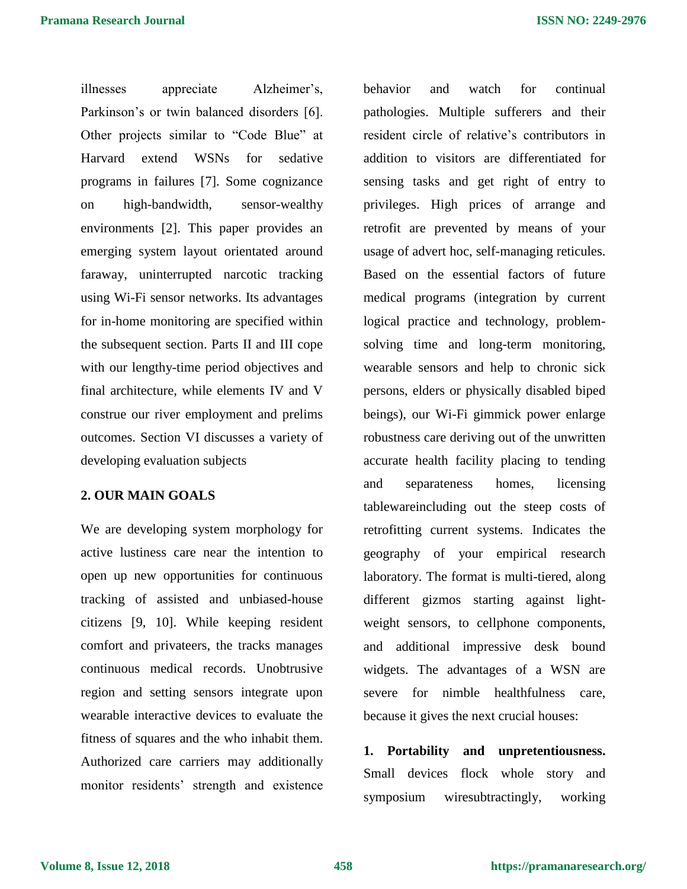illnesses appreciate Alzheimer's, Parkinson's or twin balanced disorders [6]. Other projects similar to "Code Blue" at Harvard extend WSNs for sedative programs in failures [7]. Some cognizance on high-bandwidth, sensor-wealthy environments [2]. This paper provides an emerging system layout orientated around faraway, uninterrupted narcotic tracking using Wi-Fi sensor networks. Its advantages for in-home monitoring are specified within the subsequent section. Parts II and III cope with our lengthy-time period objectives and final architecture, while elements IV and V construe our river employment and prelims outcomes. Section VI discusses a variety of developing evaluation subjects

### **2. OUR MAIN GOALS**

We are developing system morphology for active lustiness care near the intention to open up new opportunities for continuous tracking of assisted and unbiased-house citizens [9, 10]. While keeping resident comfort and privateers, the tracks manages continuous medical records. Unobtrusive region and setting sensors integrate upon wearable interactive devices to evaluate the fitness of squares and the who inhabit them. Authorized care carriers may additionally monitor residents' strength and existence

behavior and watch for continual pathologies. Multiple sufferers and their resident circle of relative's contributors in addition to visitors are differentiated for sensing tasks and get right of entry to privileges. High prices of arrange and retrofit are prevented by means of your usage of advert hoc, self-managing reticules. Based on the essential factors of future medical programs (integration by current logical practice and technology, problemsolving time and long-term monitoring, wearable sensors and help to chronic sick persons, elders or physically disabled biped beings), our Wi-Fi gimmick power enlarge robustness care deriving out of the unwritten accurate health facility placing to tending and separateness homes, licensing tablewareincluding out the steep costs of retrofitting current systems. Indicates the geography of your empirical research laboratory. The format is multi-tiered, along different gizmos starting against lightweight sensors, to cellphone components, and additional impressive desk bound widgets. The advantages of a WSN are severe for nimble healthfulness care, because it gives the next crucial houses:

**1. Portability and unpretentiousness.** Small devices flock whole story and symposium wiresubtractingly, working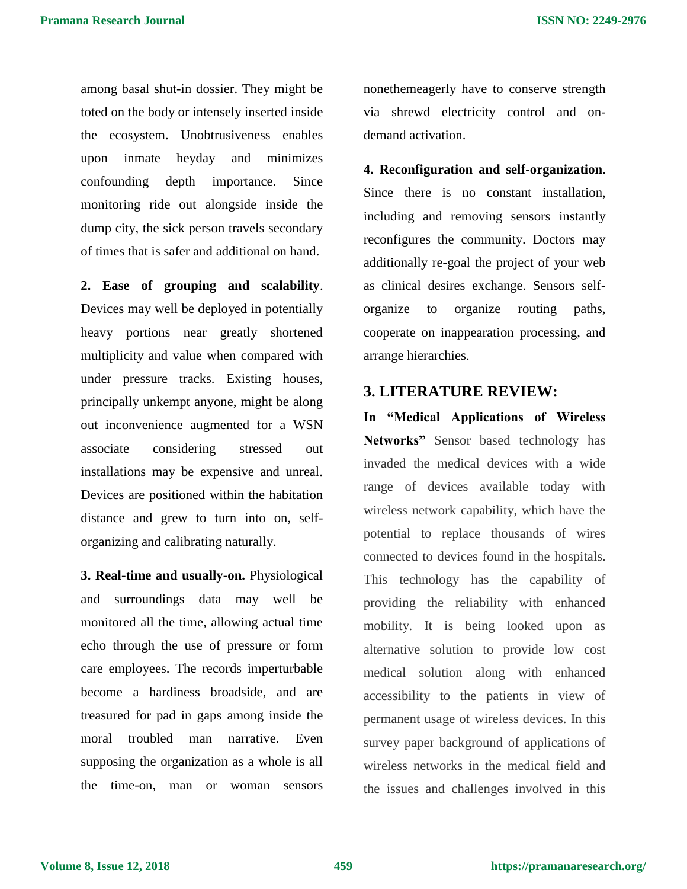among basal shut-in dossier. They might be toted on the body or intensely inserted inside the ecosystem. Unobtrusiveness enables upon inmate heyday and minimizes confounding depth importance. Since monitoring ride out alongside inside the dump city, the sick person travels secondary of times that is safer and additional on hand.

**2. Ease of grouping and scalability**. Devices may well be deployed in potentially heavy portions near greatly shortened multiplicity and value when compared with under pressure tracks. Existing houses, principally unkempt anyone, might be along out inconvenience augmented for a WSN associate considering stressed out installations may be expensive and unreal. Devices are positioned within the habitation distance and grew to turn into on, selforganizing and calibrating naturally.

**3. Real-time and usually-on.** Physiological and surroundings data may well be monitored all the time, allowing actual time echo through the use of pressure or form care employees. The records imperturbable become a hardiness broadside, and are treasured for pad in gaps among inside the moral troubled man narrative. Even supposing the organization as a whole is all the time-on, man or woman sensors nonethemeagerly have to conserve strength via shrewd electricity control and ondemand activation.

**4. Reconfiguration and self-organization**. Since there is no constant installation, including and removing sensors instantly reconfigures the community. Doctors may additionally re-goal the project of your web as clinical desires exchange. Sensors selforganize to organize routing paths, cooperate on inappearation processing, and arrange hierarchies.

## **3. LITERATURE REVIEW:**

**In "Medical Applications of Wireless Networks"** Sensor based technology has invaded the medical devices with a wide range of devices available today with wireless network capability, which have the potential to replace thousands of wires connected to devices found in the hospitals. This technology has the capability of providing the reliability with enhanced mobility. It is being looked upon as alternative solution to provide low cost medical solution along with enhanced accessibility to the patients in view of permanent usage of wireless devices. In this survey paper background of applications of wireless networks in the medical field and the issues and challenges involved in this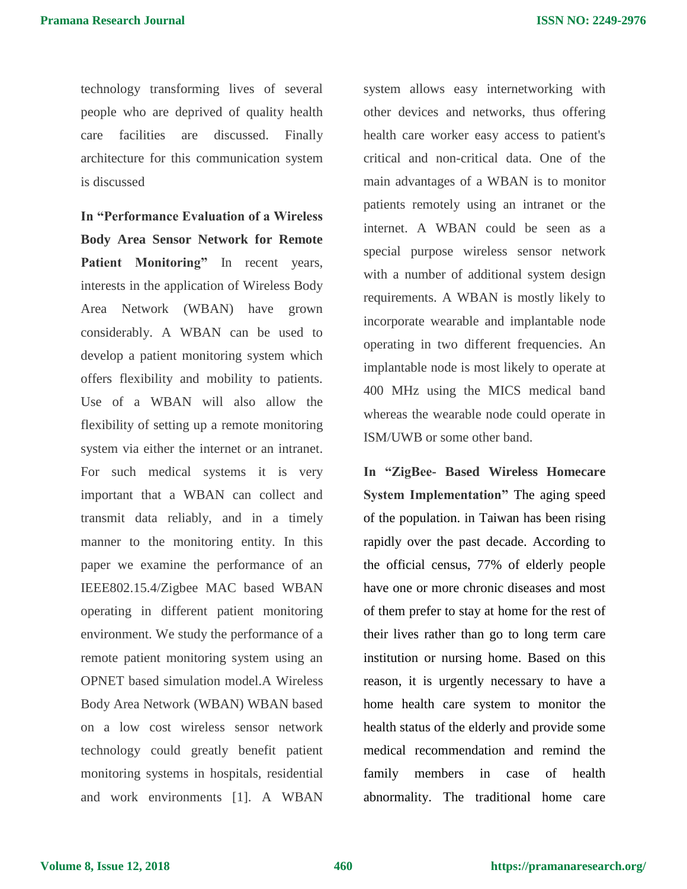technology transforming lives of several people who are deprived of quality health care facilities are discussed. Finally architecture for this communication system is discussed

**In "Performance Evaluation of a Wireless Body Area Sensor Network for Remote**  Patient Monitoring" In recent years, interests in the application of Wireless Body Area Network (WBAN) have grown considerably. A WBAN can be used to develop a patient monitoring system which offers flexibility and mobility to patients. Use of a WBAN will also allow the flexibility of setting up a remote monitoring system via either the internet or an intranet. For such medical systems it is very important that a WBAN can collect and transmit data reliably, and in a timely manner to the monitoring entity. In this paper we examine the performance of an IEEE802.15.4/Zigbee MAC based WBAN operating in different patient monitoring environment. We study the performance of a remote patient monitoring system using an OPNET based simulation model.A Wireless Body Area Network (WBAN) WBAN based on a low cost wireless sensor network technology could greatly benefit patient monitoring systems in hospitals, residential and work environments [1]. A WBAN

system allows easy internetworking with other devices and networks, thus offering health care worker easy access to patient's critical and non-critical data. One of the main advantages of a WBAN is to monitor patients remotely using an intranet or the internet. A WBAN could be seen as a special purpose wireless sensor network with a number of additional system design requirements. A WBAN is mostly likely to incorporate wearable and implantable node operating in two different frequencies. An implantable node is most likely to operate at 400 MHz using the MICS medical band whereas the wearable node could operate in ISM/UWB or some other band.

**In "ZigBee- Based Wireless Homecare System Implementation"** The aging speed of the population. in Taiwan has been rising rapidly over the past decade. According to the official census, 77% of elderly people have one or more chronic diseases and most of them prefer to stay at home for the rest of their lives rather than go to long term care institution or nursing home. Based on this reason, it is urgently necessary to have a home health care system to monitor the health status of the elderly and provide some medical recommendation and remind the family members in case of health abnormality. The traditional home care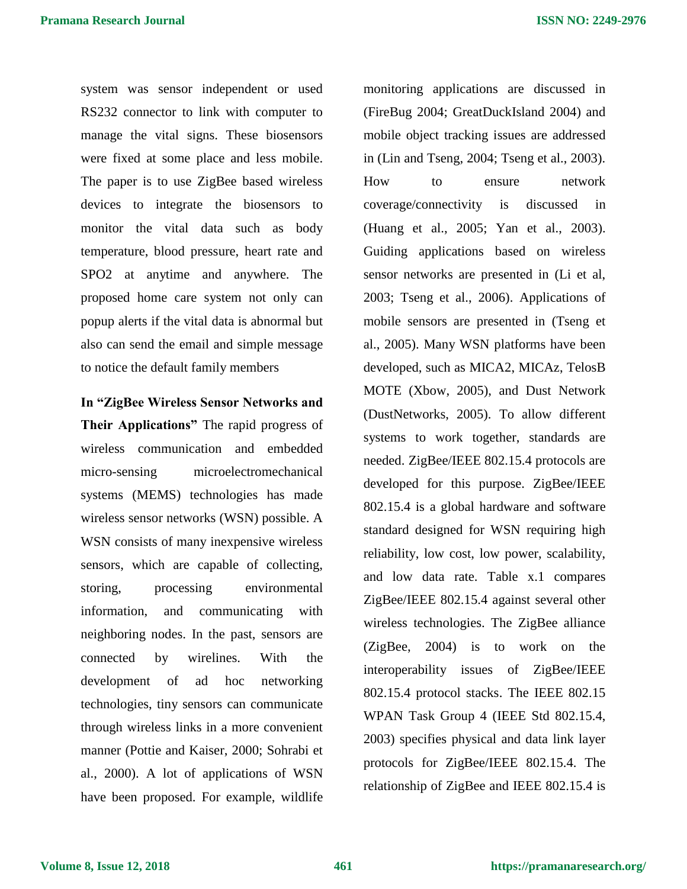system was sensor independent or used RS232 connector to link with computer to manage the vital signs. These biosensors were fixed at some place and less mobile. The paper is to use ZigBee based wireless devices to integrate the biosensors to monitor the vital data such as body temperature, blood pressure, heart rate and SPO2 at anytime and anywhere. The proposed home care system not only can popup alerts if the vital data is abnormal but also can send the email and simple message to notice the default family members

**In "ZigBee Wireless Sensor Networks and Their Applications"** The rapid progress of wireless communication and embedded micro-sensing microelectromechanical systems (MEMS) technologies has made wireless sensor networks (WSN) possible. A WSN consists of many inexpensive wireless sensors, which are capable of collecting, storing, processing environmental information, and communicating with neighboring nodes. In the past, sensors are connected by wirelines. With the development of ad hoc networking technologies, tiny sensors can communicate through wireless links in a more convenient manner (Pottie and Kaiser, 2000; Sohrabi et al., 2000). A lot of applications of WSN have been proposed. For example, wildlife

monitoring applications are discussed in (FireBug 2004; GreatDuckIsland 2004) and mobile object tracking issues are addressed in (Lin and Tseng, 2004; Tseng et al., 2003). How to ensure network coverage/connectivity is discussed in (Huang et al., 2005; Yan et al., 2003). Guiding applications based on wireless sensor networks are presented in (Li et al, 2003; Tseng et al., 2006). Applications of mobile sensors are presented in (Tseng et al., 2005). Many WSN platforms have been developed, such as MICA2, MICAz, TelosB MOTE (Xbow, 2005), and Dust Network (DustNetworks, 2005). To allow different systems to work together, standards are needed. ZigBee/IEEE 802.15.4 protocols are developed for this purpose. ZigBee/IEEE 802.15.4 is a global hardware and software standard designed for WSN requiring high reliability, low cost, low power, scalability, and low data rate. Table x.1 compares ZigBee/IEEE 802.15.4 against several other wireless technologies. The ZigBee alliance (ZigBee, 2004) is to work on the interoperability issues of ZigBee/IEEE 802.15.4 protocol stacks. The IEEE 802.15 WPAN Task Group 4 (IEEE Std 802.15.4, 2003) specifies physical and data link layer protocols for ZigBee/IEEE 802.15.4. The relationship of ZigBee and IEEE 802.15.4 is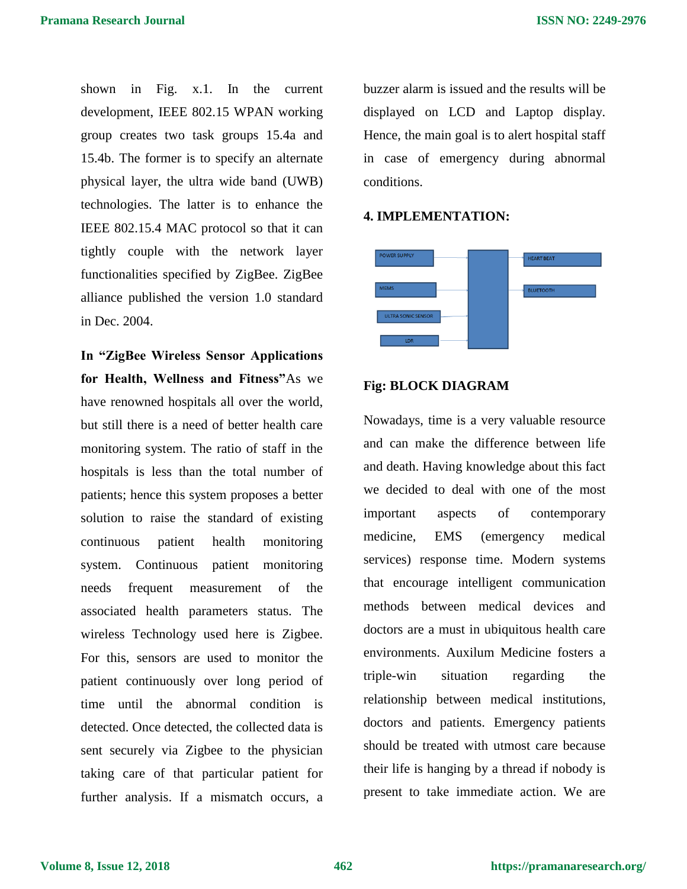shown in Fig. x.1. In the current development, IEEE 802.15 WPAN working group creates two task groups 15.4a and 15.4b. The former is to specify an alternate physical layer, the ultra wide band (UWB) technologies. The latter is to enhance the IEEE 802.15.4 MAC protocol so that it can tightly couple with the network layer functionalities specified by ZigBee. ZigBee alliance published the version 1.0 standard in Dec. 2004.

**In "ZigBee Wireless Sensor Applications for Health, Wellness and Fitness"**As we have renowned hospitals all over the world, but still there is a need of better health care monitoring system. The ratio of staff in the hospitals is less than the total number of patients; hence this system proposes a better solution to raise the standard of existing continuous patient health monitoring system. Continuous patient monitoring needs frequent measurement of the associated health parameters status. The wireless Technology used here is Zigbee. For this, sensors are used to monitor the patient continuously over long period of time until the abnormal condition is detected. Once detected, the collected data is sent securely via Zigbee to the physician taking care of that particular patient for further analysis. If a mismatch occurs, a

buzzer alarm is issued and the results will be displayed on LCD and Laptop display. Hence, the main goal is to alert hospital staff in case of emergency during abnormal conditions.

### **4. IMPLEMENTATION:**



### **Fig: BLOCK DIAGRAM**

Nowadays, time is a very valuable resource and can make the difference between life and death. Having knowledge about this fact we decided to deal with one of the most important aspects of contemporary medicine, EMS (emergency medical services) response time. Modern systems that encourage intelligent communication methods between medical devices and doctors are a must in ubiquitous health care environments. Auxilum Medicine fosters a triple-win situation regarding the relationship between medical institutions, doctors and patients. Emergency patients should be treated with utmost care because their life is hanging by a thread if nobody is present to take immediate action. We are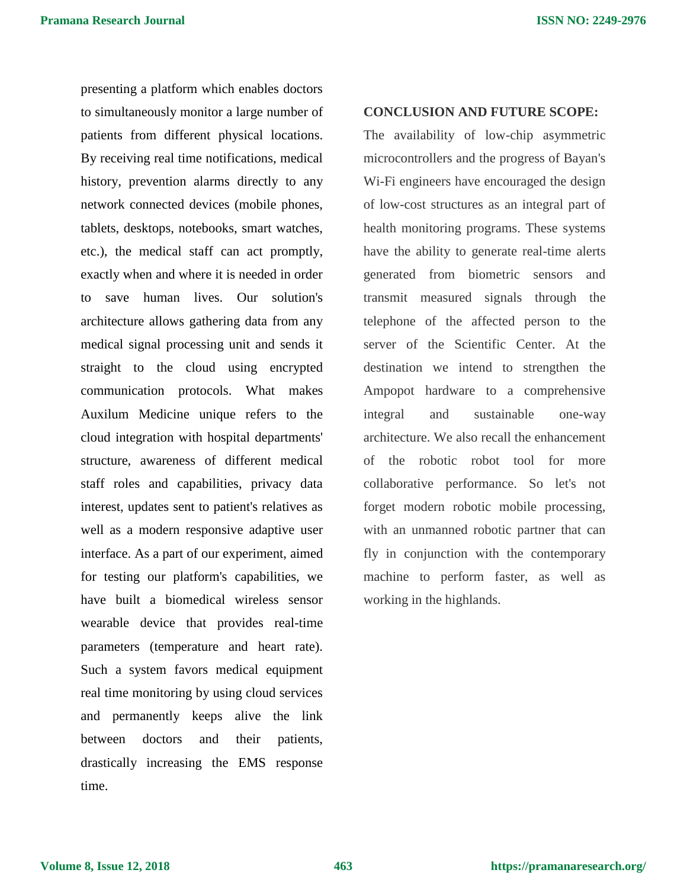presenting a platform which enables doctors to simultaneously monitor a large number of patients from different physical locations. By receiving real time notifications, medical history, prevention alarms directly to any network connected devices (mobile phones, tablets, desktops, notebooks, smart watches, etc.), the medical staff can act promptly, exactly when and where it is needed in order to save human lives. Our solution's architecture allows gathering data from any medical signal processing unit and sends it straight to the cloud using encrypted communication protocols. What makes Auxilum Medicine unique refers to the cloud integration with hospital departments' structure, awareness of different medical staff roles and capabilities, privacy data interest, updates sent to patient's relatives as well as a modern responsive adaptive user interface. As a part of our experiment, aimed for testing our platform's capabilities, we have built a biomedical wireless sensor wearable device that provides real-time parameters (temperature and heart rate). Such a system favors medical equipment real time monitoring by using cloud services and permanently keeps alive the link between doctors and their patients, drastically increasing the EMS response time.

### **CONCLUSION AND FUTURE SCOPE:**

The availability of low-chip asymmetric microcontrollers and the progress of Bayan's Wi-Fi engineers have encouraged the design of low-cost structures as an integral part of health monitoring programs. These systems have the ability to generate real-time alerts generated from biometric sensors and transmit measured signals through the telephone of the affected person to the server of the Scientific Center. At the destination we intend to strengthen the Ampopot hardware to a comprehensive integral and sustainable one-way architecture. We also recall the enhancement of the robotic robot tool for more collaborative performance. So let's not forget modern robotic mobile processing, with an unmanned robotic partner that can fly in conjunction with the contemporary machine to perform faster, as well as working in the highlands.